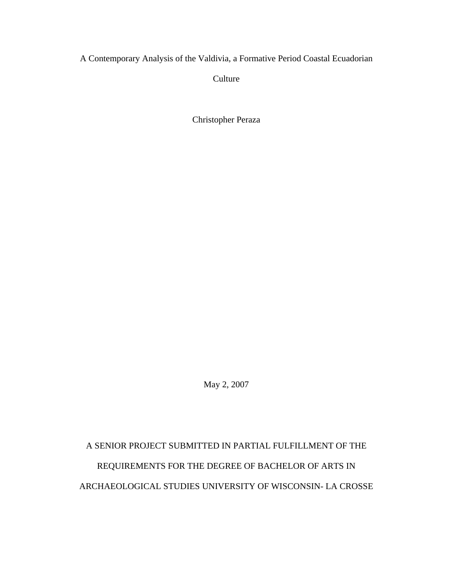A Contemporary Analysis of the Valdivia, a Formative Period Coastal Ecuadorian

**Culture** 

Christopher Peraza

May 2, 2007

A SENIOR PROJECT SUBMITTED IN PARTIAL FULFILLMENT OF THE REQUIREMENTS FOR THE DEGREE OF BACHELOR OF ARTS IN ARCHAEOLOGICAL STUDIES UNIVERSITY OF WISCONSIN- LA CROSSE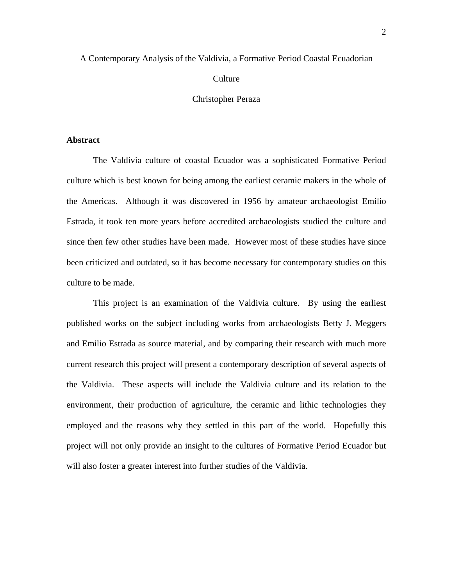# A Contemporary Analysis of the Valdivia, a Formative Period Coastal Ecuadorian

## **Culture**

## Christopher Peraza

## **Abstract**

The Valdivia culture of coastal Ecuador was a sophisticated Formative Period culture which is best known for being among the earliest ceramic makers in the whole of the Americas. Although it was discovered in 1956 by amateur archaeologist Emilio Estrada, it took ten more years before accredited archaeologists studied the culture and since then few other studies have been made. However most of these studies have since been criticized and outdated, so it has become necessary for contemporary studies on this culture to be made.

 This project is an examination of the Valdivia culture. By using the earliest published works on the subject including works from archaeologists Betty J. Meggers and Emilio Estrada as source material, and by comparing their research with much more current research this project will present a contemporary description of several aspects of the Valdivia. These aspects will include the Valdivia culture and its relation to the environment, their production of agriculture, the ceramic and lithic technologies they employed and the reasons why they settled in this part of the world. Hopefully this project will not only provide an insight to the cultures of Formative Period Ecuador but will also foster a greater interest into further studies of the Valdivia.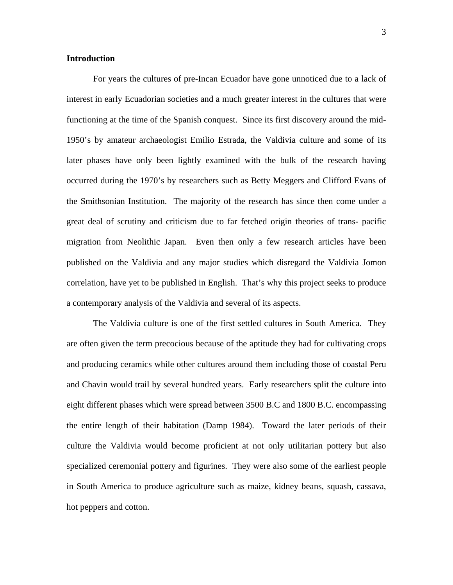### **Introduction**

For years the cultures of pre-Incan Ecuador have gone unnoticed due to a lack of interest in early Ecuadorian societies and a much greater interest in the cultures that were functioning at the time of the Spanish conquest. Since its first discovery around the mid-1950's by amateur archaeologist Emilio Estrada, the Valdivia culture and some of its later phases have only been lightly examined with the bulk of the research having occurred during the 1970's by researchers such as Betty Meggers and Clifford Evans of the Smithsonian Institution. The majority of the research has since then come under a great deal of scrutiny and criticism due to far fetched origin theories of trans- pacific migration from Neolithic Japan. Even then only a few research articles have been published on the Valdivia and any major studies which disregard the Valdivia Jomon correlation, have yet to be published in English. That's why this project seeks to produce a contemporary analysis of the Valdivia and several of its aspects.

The Valdivia culture is one of the first settled cultures in South America. They are often given the term precocious because of the aptitude they had for cultivating crops and producing ceramics while other cultures around them including those of coastal Peru and Chavin would trail by several hundred years. Early researchers split the culture into eight different phases which were spread between 3500 B.C and 1800 B.C. encompassing the entire length of their habitation (Damp 1984). Toward the later periods of their culture the Valdivia would become proficient at not only utilitarian pottery but also specialized ceremonial pottery and figurines. They were also some of the earliest people in South America to produce agriculture such as maize, kidney beans, squash, cassava, hot peppers and cotton.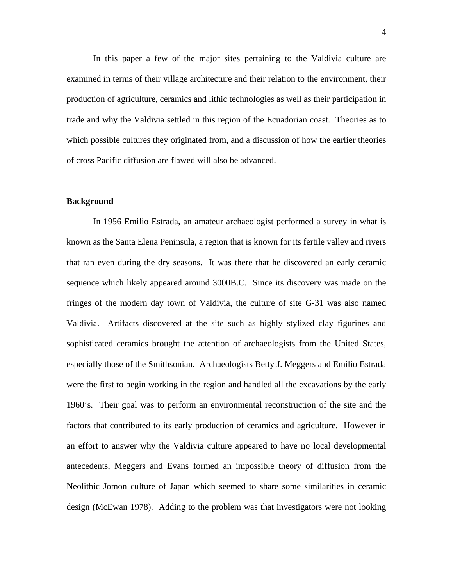In this paper a few of the major sites pertaining to the Valdivia culture are examined in terms of their village architecture and their relation to the environment, their production of agriculture, ceramics and lithic technologies as well as their participation in trade and why the Valdivia settled in this region of the Ecuadorian coast. Theories as to which possible cultures they originated from, and a discussion of how the earlier theories of cross Pacific diffusion are flawed will also be advanced.

#### **Background**

In 1956 Emilio Estrada, an amateur archaeologist performed a survey in what is known as the Santa Elena Peninsula, a region that is known for its fertile valley and rivers that ran even during the dry seasons. It was there that he discovered an early ceramic sequence which likely appeared around 3000B.C. Since its discovery was made on the fringes of the modern day town of Valdivia, the culture of site G-31 was also named Valdivia. Artifacts discovered at the site such as highly stylized clay figurines and sophisticated ceramics brought the attention of archaeologists from the United States, especially those of the Smithsonian. Archaeologists Betty J. Meggers and Emilio Estrada were the first to begin working in the region and handled all the excavations by the early 1960's. Their goal was to perform an environmental reconstruction of the site and the factors that contributed to its early production of ceramics and agriculture. However in an effort to answer why the Valdivia culture appeared to have no local developmental antecedents, Meggers and Evans formed an impossible theory of diffusion from the Neolithic Jomon culture of Japan which seemed to share some similarities in ceramic design (McEwan 1978). Adding to the problem was that investigators were not looking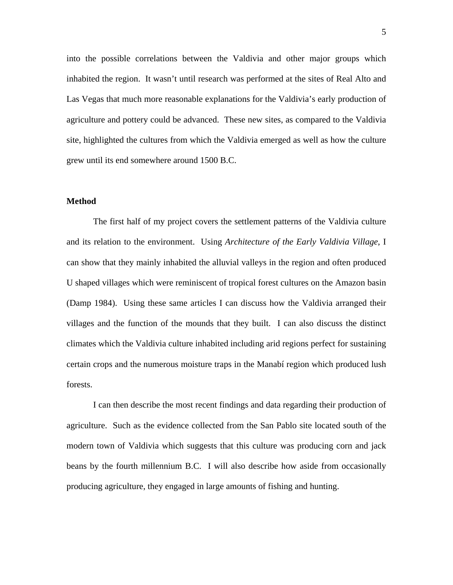into the possible correlations between the Valdivia and other major groups which inhabited the region. It wasn't until research was performed at the sites of Real Alto and Las Vegas that much more reasonable explanations for the Valdivia's early production of agriculture and pottery could be advanced. These new sites, as compared to the Valdivia site, highlighted the cultures from which the Valdivia emerged as well as how the culture grew until its end somewhere around 1500 B.C.

#### **Method**

 The first half of my project covers the settlement patterns of the Valdivia culture and its relation to the environment. Using *Architecture of the Early Valdivia Village*, I can show that they mainly inhabited the alluvial valleys in the region and often produced U shaped villages which were reminiscent of tropical forest cultures on the Amazon basin (Damp 1984). Using these same articles I can discuss how the Valdivia arranged their villages and the function of the mounds that they built. I can also discuss the distinct climates which the Valdivia culture inhabited including arid regions perfect for sustaining certain crops and the numerous moisture traps in the Manabí region which produced lush forests.

I can then describe the most recent findings and data regarding their production of agriculture. Such as the evidence collected from the San Pablo site located south of the modern town of Valdivia which suggests that this culture was producing corn and jack beans by the fourth millennium B.C. I will also describe how aside from occasionally producing agriculture, they engaged in large amounts of fishing and hunting.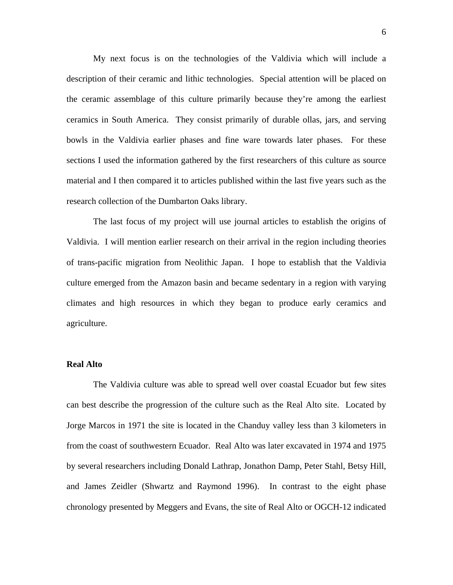My next focus is on the technologies of the Valdivia which will include a description of their ceramic and lithic technologies. Special attention will be placed on the ceramic assemblage of this culture primarily because they're among the earliest ceramics in South America. They consist primarily of durable ollas, jars, and serving bowls in the Valdivia earlier phases and fine ware towards later phases. For these sections I used the information gathered by the first researchers of this culture as source material and I then compared it to articles published within the last five years such as the research collection of the Dumbarton Oaks library.

The last focus of my project will use journal articles to establish the origins of Valdivia. I will mention earlier research on their arrival in the region including theories of trans-pacific migration from Neolithic Japan. I hope to establish that the Valdivia culture emerged from the Amazon basin and became sedentary in a region with varying climates and high resources in which they began to produce early ceramics and agriculture.

## **Real Alto**

The Valdivia culture was able to spread well over coastal Ecuador but few sites can best describe the progression of the culture such as the Real Alto site. Located by Jorge Marcos in 1971 the site is located in the Chanduy valley less than 3 kilometers in from the coast of southwestern Ecuador. Real Alto was later excavated in 1974 and 1975 by several researchers including Donald Lathrap, Jonathon Damp, Peter Stahl, Betsy Hill, and James Zeidler (Shwartz and Raymond 1996). In contrast to the eight phase chronology presented by Meggers and Evans, the site of Real Alto or OGCH-12 indicated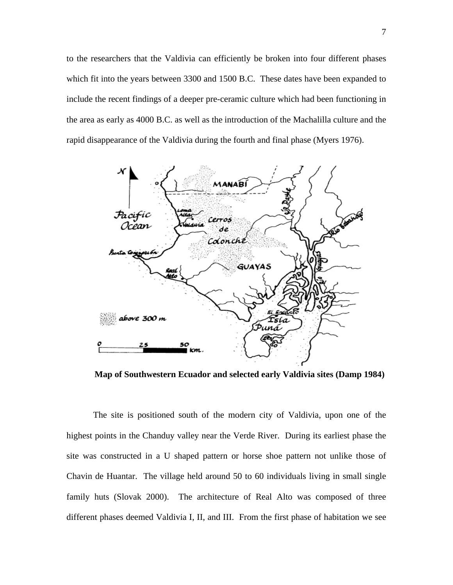to the researchers that the Valdivia can efficiently be broken into four different phases which fit into the years between 3300 and 1500 B.C. These dates have been expanded to include the recent findings of a deeper pre-ceramic culture which had been functioning in the area as early as 4000 B.C. as well as the introduction of the Machalilla culture and the rapid disappearance of the Valdivia during the fourth and final phase (Myers 1976).



**Map of Southwestern Ecuador and selected early Valdivia sites (Damp 1984)** 

The site is positioned south of the modern city of Valdivia, upon one of the highest points in the Chanduy valley near the Verde River. During its earliest phase the site was constructed in a U shaped pattern or horse shoe pattern not unlike those of Chavin de Huantar. The village held around 50 to 60 individuals living in small single family huts (Slovak 2000). The architecture of Real Alto was composed of three different phases deemed Valdivia I, II, and III. From the first phase of habitation we see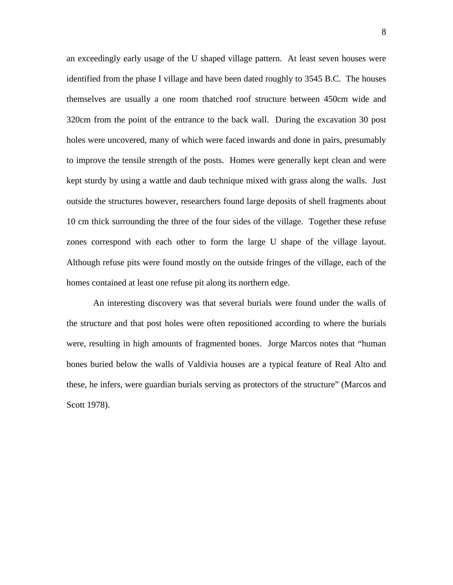an exceedingly early usage of the U shaped village pattern. At least seven houses were identified from the phase I village and have been dated roughly to 3545 B.C. The houses themselves are usually a one room thatched roof structure between 450cm wide and 320cm from the point of the entrance to the back wall. During the excavation 30 post holes were uncovered, many of which were faced inwards and done in pairs, presumably to improve the tensile strength of the posts. Homes were generally kept clean and were kept sturdy by using a wattle and daub technique mixed with grass along the walls. Just outside the structures however, researchers found large deposits of shell fragments about 10 cm thick surrounding the three of the four sides of the village. Together these refuse zones correspond with each other to form the large U shape of the village layout. Although refuse pits were found mostly on the outside fringes of the village, each of the homes contained at least one refuse pit along its northern edge.

An interesting discovery was that several burials were found under the walls of the structure and that post holes were often repositioned according to where the burials were, resulting in high amounts of fragmented bones. Jorge Marcos notes that "human bones buried below the walls of Valdivia houses are a typical feature of Real Alto and these, he infers, were guardian burials serving as protectors of the structure" (Marcos and Scott 1978).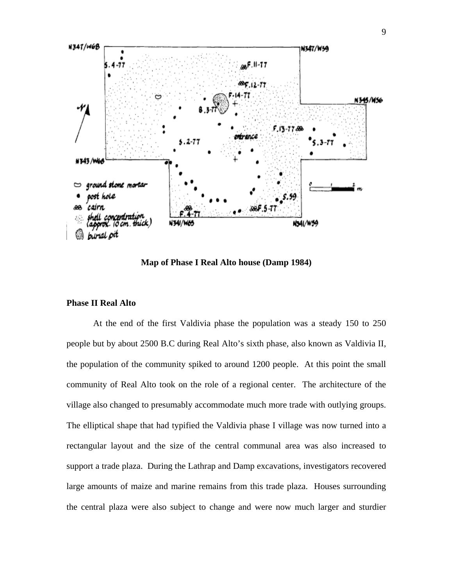

**Map of Phase I Real Alto house (Damp 1984)** 

## **Phase II Real Alto**

At the end of the first Valdivia phase the population was a steady 150 to 250 people but by about 2500 B.C during Real Alto's sixth phase, also known as Valdivia II, the population of the community spiked to around 1200 people. At this point the small community of Real Alto took on the role of a regional center. The architecture of the village also changed to presumably accommodate much more trade with outlying groups. The elliptical shape that had typified the Valdivia phase I village was now turned into a rectangular layout and the size of the central communal area was also increased to support a trade plaza. During the Lathrap and Damp excavations, investigators recovered large amounts of maize and marine remains from this trade plaza. Houses surrounding the central plaza were also subject to change and were now much larger and sturdier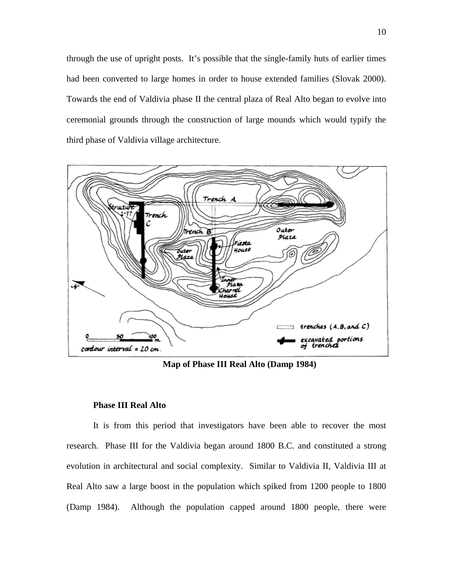through the use of upright posts. It's possible that the single-family huts of earlier times had been converted to large homes in order to house extended families (Slovak 2000). Towards the end of Valdivia phase II the central plaza of Real Alto began to evolve into ceremonial grounds through the construction of large mounds which would typify the third phase of Valdivia village architecture.



**Map of Phase III Real Alto (Damp 1984)** 

#### **Phase III Real Alto**

It is from this period that investigators have been able to recover the most research. Phase III for the Valdivia began around 1800 B.C. and constituted a strong evolution in architectural and social complexity. Similar to Valdivia II, Valdivia III at Real Alto saw a large boost in the population which spiked from 1200 people to 1800 (Damp 1984). Although the population capped around 1800 people, there were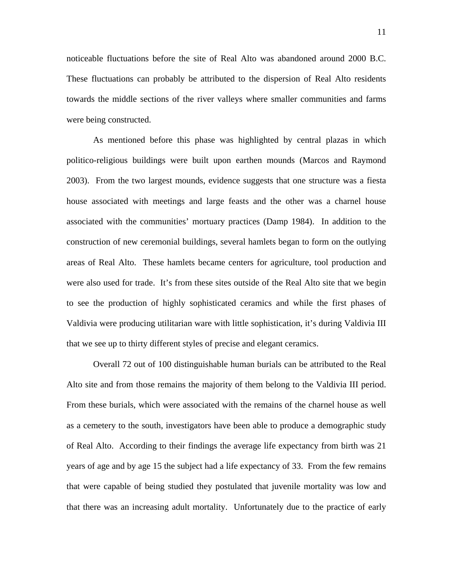noticeable fluctuations before the site of Real Alto was abandoned around 2000 B.C. These fluctuations can probably be attributed to the dispersion of Real Alto residents towards the middle sections of the river valleys where smaller communities and farms were being constructed.

As mentioned before this phase was highlighted by central plazas in which politico-religious buildings were built upon earthen mounds (Marcos and Raymond 2003). From the two largest mounds, evidence suggests that one structure was a fiesta house associated with meetings and large feasts and the other was a charnel house associated with the communities' mortuary practices (Damp 1984). In addition to the construction of new ceremonial buildings, several hamlets began to form on the outlying areas of Real Alto. These hamlets became centers for agriculture, tool production and were also used for trade. It's from these sites outside of the Real Alto site that we begin to see the production of highly sophisticated ceramics and while the first phases of Valdivia were producing utilitarian ware with little sophistication, it's during Valdivia III that we see up to thirty different styles of precise and elegant ceramics.

Overall 72 out of 100 distinguishable human burials can be attributed to the Real Alto site and from those remains the majority of them belong to the Valdivia III period. From these burials, which were associated with the remains of the charnel house as well as a cemetery to the south, investigators have been able to produce a demographic study of Real Alto. According to their findings the average life expectancy from birth was 21 years of age and by age 15 the subject had a life expectancy of 33. From the few remains that were capable of being studied they postulated that juvenile mortality was low and that there was an increasing adult mortality. Unfortunately due to the practice of early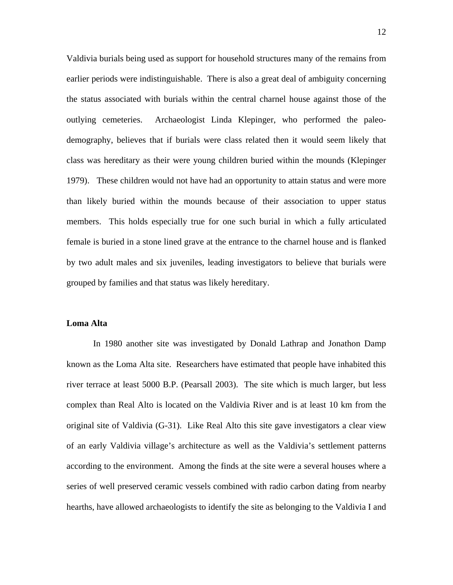Valdivia burials being used as support for household structures many of the remains from earlier periods were indistinguishable. There is also a great deal of ambiguity concerning the status associated with burials within the central charnel house against those of the outlying cemeteries. Archaeologist Linda Klepinger, who performed the paleodemography, believes that if burials were class related then it would seem likely that class was hereditary as their were young children buried within the mounds (Klepinger 1979). These children would not have had an opportunity to attain status and were more than likely buried within the mounds because of their association to upper status members. This holds especially true for one such burial in which a fully articulated female is buried in a stone lined grave at the entrance to the charnel house and is flanked by two adult males and six juveniles, leading investigators to believe that burials were grouped by families and that status was likely hereditary.

## **Loma Alta**

In 1980 another site was investigated by Donald Lathrap and Jonathon Damp known as the Loma Alta site. Researchers have estimated that people have inhabited this river terrace at least 5000 B.P. (Pearsall 2003). The site which is much larger, but less complex than Real Alto is located on the Valdivia River and is at least 10 km from the original site of Valdivia (G-31). Like Real Alto this site gave investigators a clear view of an early Valdivia village's architecture as well as the Valdivia's settlement patterns according to the environment. Among the finds at the site were a several houses where a series of well preserved ceramic vessels combined with radio carbon dating from nearby hearths, have allowed archaeologists to identify the site as belonging to the Valdivia I and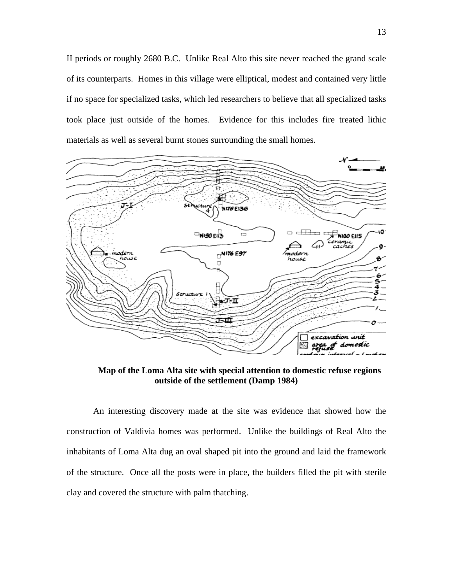II periods or roughly 2680 B.C. Unlike Real Alto this site never reached the grand scale of its counterparts. Homes in this village were elliptical, modest and contained very little if no space for specialized tasks, which led researchers to believe that all specialized tasks took place just outside of the homes. Evidence for this includes fire treated lithic materials as well as several burnt stones surrounding the small homes.



**Map of the Loma Alta site with special attention to domestic refuse regions outside of the settlement (Damp 1984)** 

An interesting discovery made at the site was evidence that showed how the construction of Valdivia homes was performed. Unlike the buildings of Real Alto the inhabitants of Loma Alta dug an oval shaped pit into the ground and laid the framework of the structure. Once all the posts were in place, the builders filled the pit with sterile clay and covered the structure with palm thatching.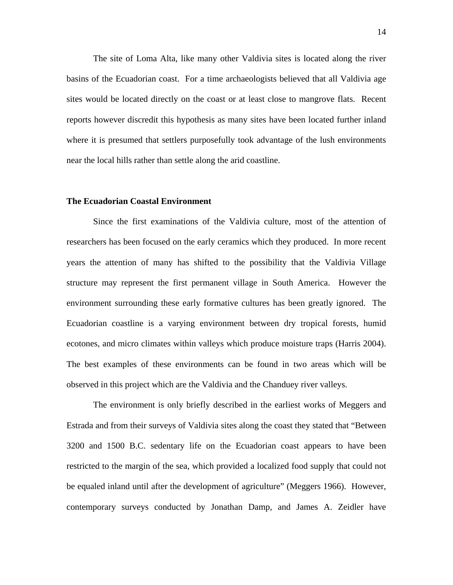The site of Loma Alta, like many other Valdivia sites is located along the river basins of the Ecuadorian coast. For a time archaeologists believed that all Valdivia age sites would be located directly on the coast or at least close to mangrove flats. Recent reports however discredit this hypothesis as many sites have been located further inland where it is presumed that settlers purposefully took advantage of the lush environments near the local hills rather than settle along the arid coastline.

#### **The Ecuadorian Coastal Environment**

Since the first examinations of the Valdivia culture, most of the attention of researchers has been focused on the early ceramics which they produced. In more recent years the attention of many has shifted to the possibility that the Valdivia Village structure may represent the first permanent village in South America. However the environment surrounding these early formative cultures has been greatly ignored. The Ecuadorian coastline is a varying environment between dry tropical forests, humid ecotones, and micro climates within valleys which produce moisture traps (Harris 2004). The best examples of these environments can be found in two areas which will be observed in this project which are the Valdivia and the Chanduey river valleys.

 The environment is only briefly described in the earliest works of Meggers and Estrada and from their surveys of Valdivia sites along the coast they stated that "Between 3200 and 1500 B.C. sedentary life on the Ecuadorian coast appears to have been restricted to the margin of the sea, which provided a localized food supply that could not be equaled inland until after the development of agriculture" (Meggers 1966). However, contemporary surveys conducted by Jonathan Damp, and James A. Zeidler have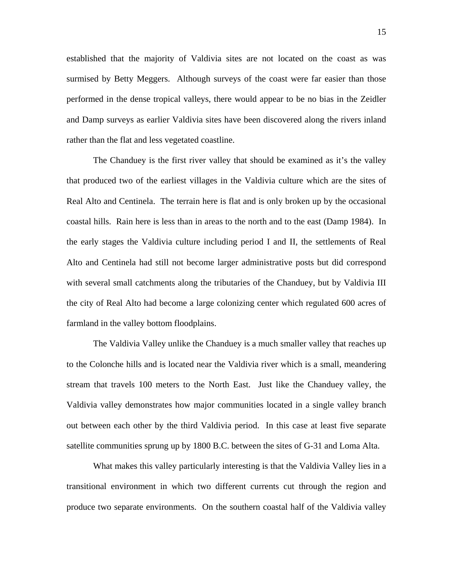established that the majority of Valdivia sites are not located on the coast as was surmised by Betty Meggers. Although surveys of the coast were far easier than those performed in the dense tropical valleys, there would appear to be no bias in the Zeidler and Damp surveys as earlier Valdivia sites have been discovered along the rivers inland rather than the flat and less vegetated coastline.

 The Chanduey is the first river valley that should be examined as it's the valley that produced two of the earliest villages in the Valdivia culture which are the sites of Real Alto and Centinela. The terrain here is flat and is only broken up by the occasional coastal hills. Rain here is less than in areas to the north and to the east (Damp 1984). In the early stages the Valdivia culture including period I and II, the settlements of Real Alto and Centinela had still not become larger administrative posts but did correspond with several small catchments along the tributaries of the Chanduey, but by Valdivia III the city of Real Alto had become a large colonizing center which regulated 600 acres of farmland in the valley bottom floodplains.

 The Valdivia Valley unlike the Chanduey is a much smaller valley that reaches up to the Colonche hills and is located near the Valdivia river which is a small, meandering stream that travels 100 meters to the North East. Just like the Chanduey valley, the Valdivia valley demonstrates how major communities located in a single valley branch out between each other by the third Valdivia period. In this case at least five separate satellite communities sprung up by 1800 B.C. between the sites of G-31 and Loma Alta.

 What makes this valley particularly interesting is that the Valdivia Valley lies in a transitional environment in which two different currents cut through the region and produce two separate environments. On the southern coastal half of the Valdivia valley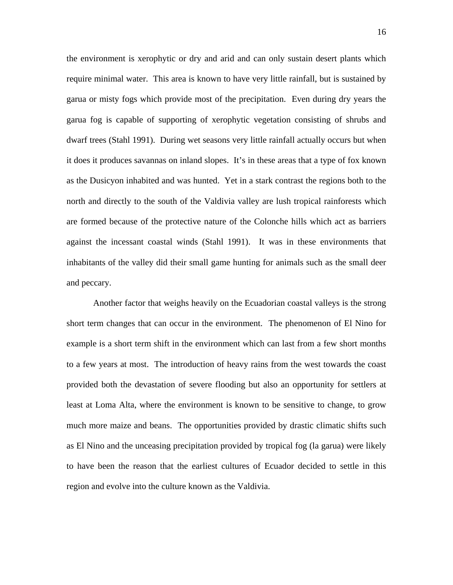the environment is xerophytic or dry and arid and can only sustain desert plants which require minimal water. This area is known to have very little rainfall, but is sustained by garua or misty fogs which provide most of the precipitation. Even during dry years the garua fog is capable of supporting of xerophytic vegetation consisting of shrubs and dwarf trees (Stahl 1991). During wet seasons very little rainfall actually occurs but when it does it produces savannas on inland slopes. It's in these areas that a type of fox known as the Dusicyon inhabited and was hunted. Yet in a stark contrast the regions both to the north and directly to the south of the Valdivia valley are lush tropical rainforests which are formed because of the protective nature of the Colonche hills which act as barriers against the incessant coastal winds (Stahl 1991). It was in these environments that inhabitants of the valley did their small game hunting for animals such as the small deer and peccary.

Another factor that weighs heavily on the Ecuadorian coastal valleys is the strong short term changes that can occur in the environment. The phenomenon of El Nino for example is a short term shift in the environment which can last from a few short months to a few years at most. The introduction of heavy rains from the west towards the coast provided both the devastation of severe flooding but also an opportunity for settlers at least at Loma Alta, where the environment is known to be sensitive to change, to grow much more maize and beans. The opportunities provided by drastic climatic shifts such as El Nino and the unceasing precipitation provided by tropical fog (la garua) were likely to have been the reason that the earliest cultures of Ecuador decided to settle in this region and evolve into the culture known as the Valdivia.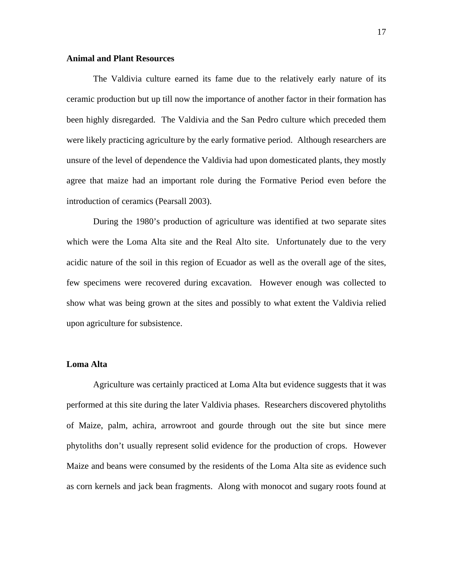## **Animal and Plant Resources**

The Valdivia culture earned its fame due to the relatively early nature of its ceramic production but up till now the importance of another factor in their formation has been highly disregarded. The Valdivia and the San Pedro culture which preceded them were likely practicing agriculture by the early formative period. Although researchers are unsure of the level of dependence the Valdivia had upon domesticated plants, they mostly agree that maize had an important role during the Formative Period even before the introduction of ceramics (Pearsall 2003).

 During the 1980's production of agriculture was identified at two separate sites which were the Loma Alta site and the Real Alto site. Unfortunately due to the very acidic nature of the soil in this region of Ecuador as well as the overall age of the sites, few specimens were recovered during excavation. However enough was collected to show what was being grown at the sites and possibly to what extent the Valdivia relied upon agriculture for subsistence.

## **Loma Alta**

Agriculture was certainly practiced at Loma Alta but evidence suggests that it was performed at this site during the later Valdivia phases. Researchers discovered phytoliths of Maize, palm, achira, arrowroot and gourde through out the site but since mere phytoliths don't usually represent solid evidence for the production of crops. However Maize and beans were consumed by the residents of the Loma Alta site as evidence such as corn kernels and jack bean fragments. Along with monocot and sugary roots found at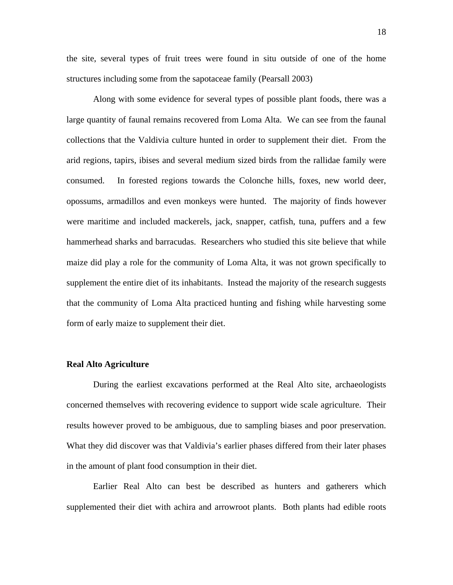the site, several types of fruit trees were found in situ outside of one of the home structures including some from the sapotaceae family (Pearsall 2003)

 Along with some evidence for several types of possible plant foods, there was a large quantity of faunal remains recovered from Loma Alta. We can see from the faunal collections that the Valdivia culture hunted in order to supplement their diet. From the arid regions, tapirs, ibises and several medium sized birds from the rallidae family were consumed. In forested regions towards the Colonche hills, foxes, new world deer, opossums, armadillos and even monkeys were hunted. The majority of finds however were maritime and included mackerels, jack, snapper, catfish, tuna, puffers and a few hammerhead sharks and barracudas. Researchers who studied this site believe that while maize did play a role for the community of Loma Alta, it was not grown specifically to supplement the entire diet of its inhabitants. Instead the majority of the research suggests that the community of Loma Alta practiced hunting and fishing while harvesting some form of early maize to supplement their diet.

#### **Real Alto Agriculture**

During the earliest excavations performed at the Real Alto site, archaeologists concerned themselves with recovering evidence to support wide scale agriculture. Their results however proved to be ambiguous, due to sampling biases and poor preservation. What they did discover was that Valdivia's earlier phases differed from their later phases in the amount of plant food consumption in their diet.

 Earlier Real Alto can best be described as hunters and gatherers which supplemented their diet with achira and arrowroot plants. Both plants had edible roots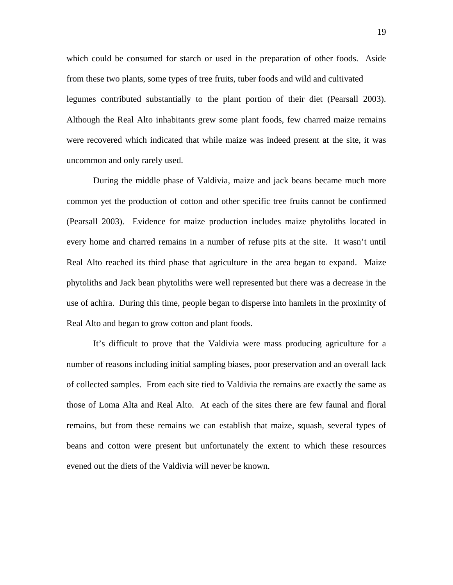which could be consumed for starch or used in the preparation of other foods. Aside from these two plants, some types of tree fruits, tuber foods and wild and cultivated legumes contributed substantially to the plant portion of their diet (Pearsall 2003). Although the Real Alto inhabitants grew some plant foods, few charred maize remains were recovered which indicated that while maize was indeed present at the site, it was uncommon and only rarely used.

 During the middle phase of Valdivia, maize and jack beans became much more common yet the production of cotton and other specific tree fruits cannot be confirmed (Pearsall 2003). Evidence for maize production includes maize phytoliths located in every home and charred remains in a number of refuse pits at the site. It wasn't until Real Alto reached its third phase that agriculture in the area began to expand. Maize phytoliths and Jack bean phytoliths were well represented but there was a decrease in the use of achira. During this time, people began to disperse into hamlets in the proximity of Real Alto and began to grow cotton and plant foods.

 It's difficult to prove that the Valdivia were mass producing agriculture for a number of reasons including initial sampling biases, poor preservation and an overall lack of collected samples. From each site tied to Valdivia the remains are exactly the same as those of Loma Alta and Real Alto. At each of the sites there are few faunal and floral remains, but from these remains we can establish that maize, squash, several types of beans and cotton were present but unfortunately the extent to which these resources evened out the diets of the Valdivia will never be known.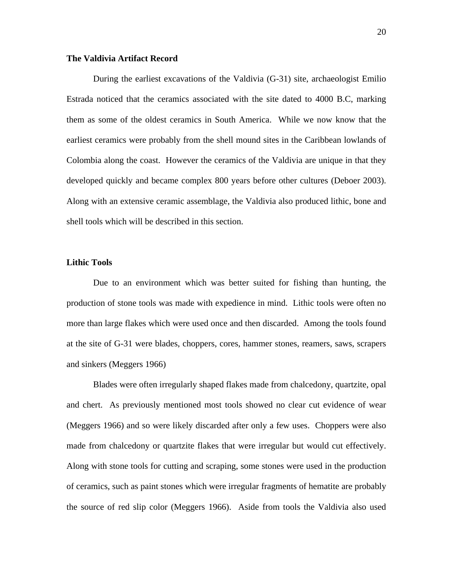#### **The Valdivia Artifact Record**

 During the earliest excavations of the Valdivia (G-31) site, archaeologist Emilio Estrada noticed that the ceramics associated with the site dated to 4000 B.C, marking them as some of the oldest ceramics in South America. While we now know that the earliest ceramics were probably from the shell mound sites in the Caribbean lowlands of Colombia along the coast. However the ceramics of the Valdivia are unique in that they developed quickly and became complex 800 years before other cultures (Deboer 2003). Along with an extensive ceramic assemblage, the Valdivia also produced lithic, bone and shell tools which will be described in this section.

#### **Lithic Tools**

Due to an environment which was better suited for fishing than hunting, the production of stone tools was made with expedience in mind. Lithic tools were often no more than large flakes which were used once and then discarded. Among the tools found at the site of G-31 were blades, choppers, cores, hammer stones, reamers, saws, scrapers and sinkers (Meggers 1966)

 Blades were often irregularly shaped flakes made from chalcedony, quartzite, opal and chert. As previously mentioned most tools showed no clear cut evidence of wear (Meggers 1966) and so were likely discarded after only a few uses. Choppers were also made from chalcedony or quartzite flakes that were irregular but would cut effectively. Along with stone tools for cutting and scraping, some stones were used in the production of ceramics, such as paint stones which were irregular fragments of hematite are probably the source of red slip color (Meggers 1966). Aside from tools the Valdivia also used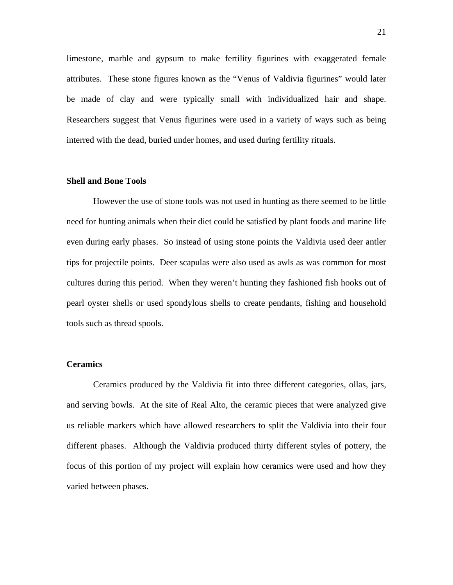limestone, marble and gypsum to make fertility figurines with exaggerated female attributes. These stone figures known as the "Venus of Valdivia figurines" would later be made of clay and were typically small with individualized hair and shape. Researchers suggest that Venus figurines were used in a variety of ways such as being interred with the dead, buried under homes, and used during fertility rituals.

#### **Shell and Bone Tools**

 However the use of stone tools was not used in hunting as there seemed to be little need for hunting animals when their diet could be satisfied by plant foods and marine life even during early phases. So instead of using stone points the Valdivia used deer antler tips for projectile points. Deer scapulas were also used as awls as was common for most cultures during this period. When they weren't hunting they fashioned fish hooks out of pearl oyster shells or used spondylous shells to create pendants, fishing and household tools such as thread spools.

## **Ceramics**

 Ceramics produced by the Valdivia fit into three different categories, ollas, jars, and serving bowls. At the site of Real Alto, the ceramic pieces that were analyzed give us reliable markers which have allowed researchers to split the Valdivia into their four different phases. Although the Valdivia produced thirty different styles of pottery, the focus of this portion of my project will explain how ceramics were used and how they varied between phases.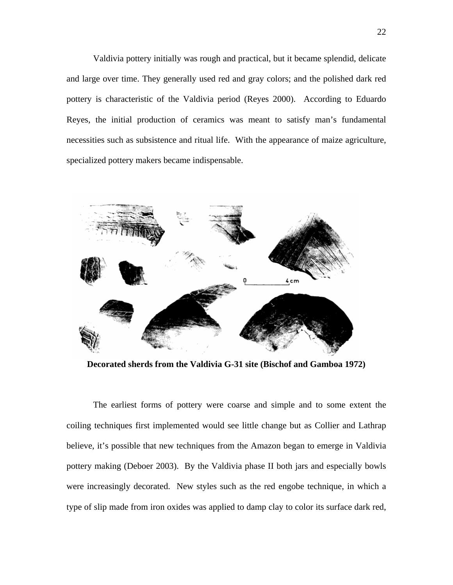Valdivia pottery initially was rough and practical, but it became splendid, delicate and large over time. They generally used red and gray colors; and the polished dark red pottery is characteristic of the Valdivia period (Reyes 2000). According to Eduardo Reyes, the initial production of ceramics was meant to satisfy man's fundamental necessities such as subsistence and ritual life. With the appearance of maize agriculture, specialized pottery makers became indispensable.



**Decorated sherds from the Valdivia G-31 site (Bischof and Gamboa 1972)** 

 The earliest forms of pottery were coarse and simple and to some extent the coiling techniques first implemented would see little change but as Collier and Lathrap believe, it's possible that new techniques from the Amazon began to emerge in Valdivia pottery making (Deboer 2003). By the Valdivia phase II both jars and especially bowls were increasingly decorated. New styles such as the red engobe technique, in which a type of slip made from iron oxides was applied to damp clay to color its surface dark red,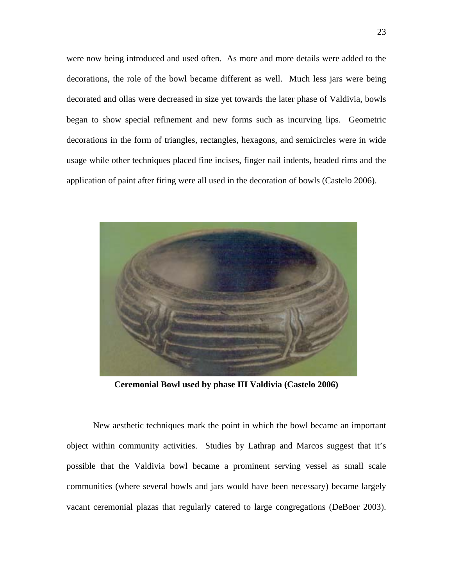were now being introduced and used often. As more and more details were added to the decorations, the role of the bowl became different as well. Much less jars were being decorated and ollas were decreased in size yet towards the later phase of Valdivia, bowls began to show special refinement and new forms such as incurving lips. Geometric decorations in the form of triangles, rectangles, hexagons, and semicircles were in wide usage while other techniques placed fine incises, finger nail indents, beaded rims and the application of paint after firing were all used in the decoration of bowls (Castelo 2006).



**Ceremonial Bowl used by phase III Valdivia (Castelo 2006)** 

 New aesthetic techniques mark the point in which the bowl became an important object within community activities. Studies by Lathrap and Marcos suggest that it's possible that the Valdivia bowl became a prominent serving vessel as small scale communities (where several bowls and jars would have been necessary) became largely vacant ceremonial plazas that regularly catered to large congregations (DeBoer 2003).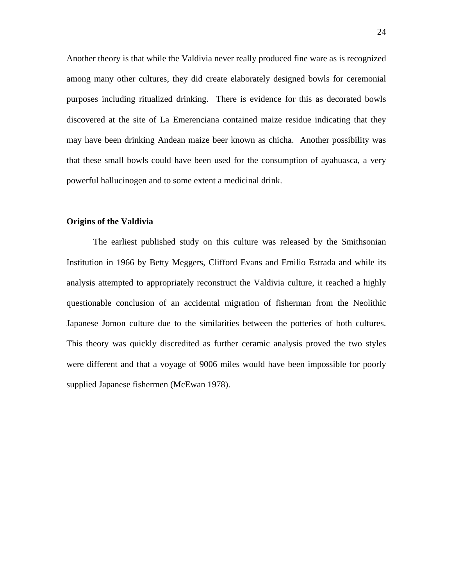Another theory is that while the Valdivia never really produced fine ware as is recognized among many other cultures, they did create elaborately designed bowls for ceremonial purposes including ritualized drinking. There is evidence for this as decorated bowls discovered at the site of La Emerenciana contained maize residue indicating that they may have been drinking Andean maize beer known as chicha. Another possibility was that these small bowls could have been used for the consumption of ayahuasca, a very powerful hallucinogen and to some extent a medicinal drink.

## **Origins of the Valdivia**

The earliest published study on this culture was released by the Smithsonian Institution in 1966 by Betty Meggers, Clifford Evans and Emilio Estrada and while its analysis attempted to appropriately reconstruct the Valdivia culture, it reached a highly questionable conclusion of an accidental migration of fisherman from the Neolithic Japanese Jomon culture due to the similarities between the potteries of both cultures. This theory was quickly discredited as further ceramic analysis proved the two styles were different and that a voyage of 9006 miles would have been impossible for poorly supplied Japanese fishermen (McEwan 1978).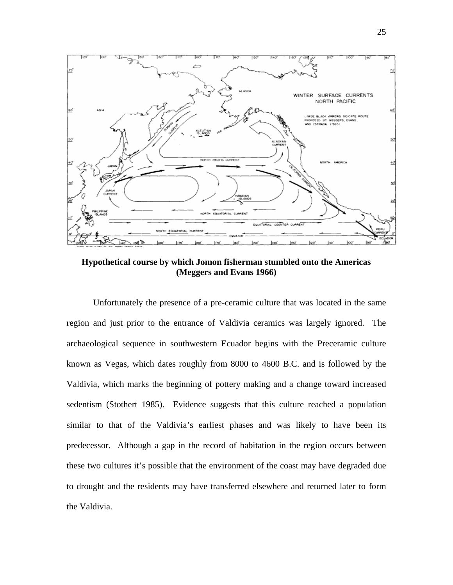

**Hypothetical course by which Jomon fisherman stumbled onto the Americas (Meggers and Evans 1966)** 

 Unfortunately the presence of a pre-ceramic culture that was located in the same region and just prior to the entrance of Valdivia ceramics was largely ignored. The archaeological sequence in southwestern Ecuador begins with the Preceramic culture known as Vegas, which dates roughly from 8000 to 4600 B.C. and is followed by the Valdivia, which marks the beginning of pottery making and a change toward increased sedentism (Stothert 1985). Evidence suggests that this culture reached a population similar to that of the Valdivia's earliest phases and was likely to have been its predecessor. Although a gap in the record of habitation in the region occurs between these two cultures it's possible that the environment of the coast may have degraded due to drought and the residents may have transferred elsewhere and returned later to form the Valdivia.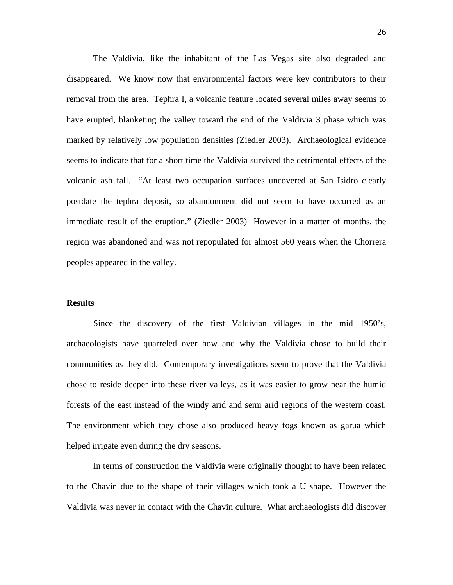The Valdivia, like the inhabitant of the Las Vegas site also degraded and disappeared. We know now that environmental factors were key contributors to their removal from the area. Tephra I, a volcanic feature located several miles away seems to have erupted, blanketing the valley toward the end of the Valdivia 3 phase which was marked by relatively low population densities (Ziedler 2003). Archaeological evidence seems to indicate that for a short time the Valdivia survived the detrimental effects of the volcanic ash fall. "At least two occupation surfaces uncovered at San Isidro clearly postdate the tephra deposit, so abandonment did not seem to have occurred as an immediate result of the eruption." (Ziedler 2003) However in a matter of months, the region was abandoned and was not repopulated for almost 560 years when the Chorrera peoples appeared in the valley.

#### **Results**

 Since the discovery of the first Valdivian villages in the mid 1950's, archaeologists have quarreled over how and why the Valdivia chose to build their communities as they did. Contemporary investigations seem to prove that the Valdivia chose to reside deeper into these river valleys, as it was easier to grow near the humid forests of the east instead of the windy arid and semi arid regions of the western coast. The environment which they chose also produced heavy fogs known as garua which helped irrigate even during the dry seasons.

In terms of construction the Valdivia were originally thought to have been related to the Chavin due to the shape of their villages which took a U shape. However the Valdivia was never in contact with the Chavin culture. What archaeologists did discover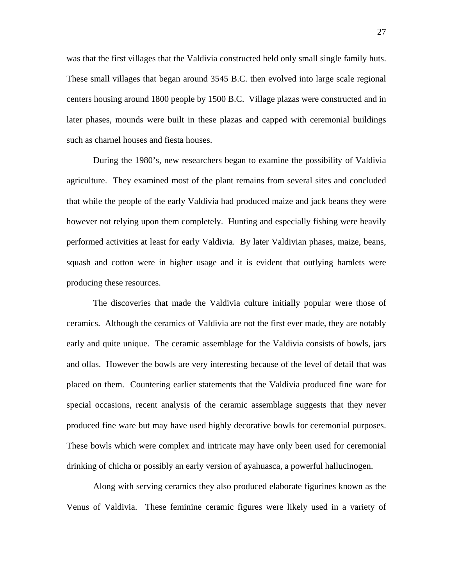was that the first villages that the Valdivia constructed held only small single family huts. These small villages that began around 3545 B.C. then evolved into large scale regional centers housing around 1800 people by 1500 B.C. Village plazas were constructed and in later phases, mounds were built in these plazas and capped with ceremonial buildings such as charnel houses and fiesta houses.

 During the 1980's, new researchers began to examine the possibility of Valdivia agriculture. They examined most of the plant remains from several sites and concluded that while the people of the early Valdivia had produced maize and jack beans they were however not relying upon them completely. Hunting and especially fishing were heavily performed activities at least for early Valdivia. By later Valdivian phases, maize, beans, squash and cotton were in higher usage and it is evident that outlying hamlets were producing these resources.

 The discoveries that made the Valdivia culture initially popular were those of ceramics. Although the ceramics of Valdivia are not the first ever made, they are notably early and quite unique. The ceramic assemblage for the Valdivia consists of bowls, jars and ollas. However the bowls are very interesting because of the level of detail that was placed on them. Countering earlier statements that the Valdivia produced fine ware for special occasions, recent analysis of the ceramic assemblage suggests that they never produced fine ware but may have used highly decorative bowls for ceremonial purposes. These bowls which were complex and intricate may have only been used for ceremonial drinking of chicha or possibly an early version of ayahuasca, a powerful hallucinogen.

 Along with serving ceramics they also produced elaborate figurines known as the Venus of Valdivia. These feminine ceramic figures were likely used in a variety of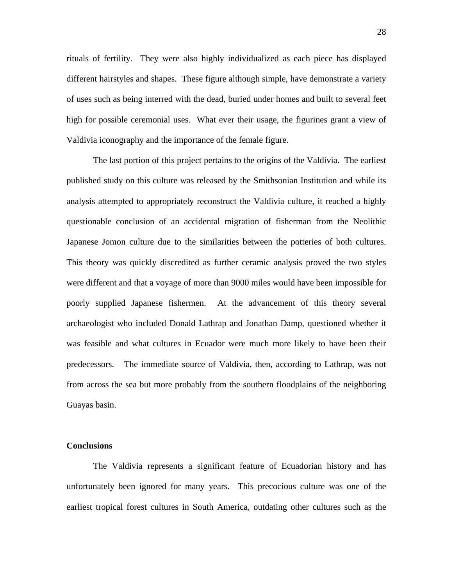rituals of fertility. They were also highly individualized as each piece has displayed different hairstyles and shapes. These figure although simple, have demonstrate a variety of uses such as being interred with the dead, buried under homes and built to several feet high for possible ceremonial uses. What ever their usage, the figurines grant a view of Valdivia iconography and the importance of the female figure.

 The last portion of this project pertains to the origins of the Valdivia. The earliest published study on this culture was released by the Smithsonian Institution and while its analysis attempted to appropriately reconstruct the Valdivia culture, it reached a highly questionable conclusion of an accidental migration of fisherman from the Neolithic Japanese Jomon culture due to the similarities between the potteries of both cultures. This theory was quickly discredited as further ceramic analysis proved the two styles were different and that a voyage of more than 9000 miles would have been impossible for poorly supplied Japanese fishermen. At the advancement of this theory several archaeologist who included Donald Lathrap and Jonathan Damp, questioned whether it was feasible and what cultures in Ecuador were much more likely to have been their predecessors. The immediate source of Valdivia, then, according to Lathrap, was not from across the sea but more probably from the southern floodplains of the neighboring Guayas basin.

## **Conclusions**

The Valdivia represents a significant feature of Ecuadorian history and has unfortunately been ignored for many years. This precocious culture was one of the earliest tropical forest cultures in South America, outdating other cultures such as the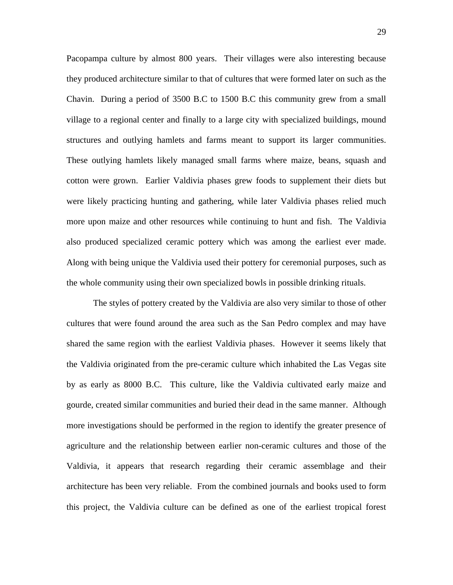Pacopampa culture by almost 800 years. Their villages were also interesting because they produced architecture similar to that of cultures that were formed later on such as the Chavin. During a period of 3500 B.C to 1500 B.C this community grew from a small village to a regional center and finally to a large city with specialized buildings, mound structures and outlying hamlets and farms meant to support its larger communities. These outlying hamlets likely managed small farms where maize, beans, squash and cotton were grown. Earlier Valdivia phases grew foods to supplement their diets but were likely practicing hunting and gathering, while later Valdivia phases relied much more upon maize and other resources while continuing to hunt and fish. The Valdivia also produced specialized ceramic pottery which was among the earliest ever made. Along with being unique the Valdivia used their pottery for ceremonial purposes, such as the whole community using their own specialized bowls in possible drinking rituals.

The styles of pottery created by the Valdivia are also very similar to those of other cultures that were found around the area such as the San Pedro complex and may have shared the same region with the earliest Valdivia phases. However it seems likely that the Valdivia originated from the pre-ceramic culture which inhabited the Las Vegas site by as early as 8000 B.C. This culture, like the Valdivia cultivated early maize and gourde, created similar communities and buried their dead in the same manner. Although more investigations should be performed in the region to identify the greater presence of agriculture and the relationship between earlier non-ceramic cultures and those of the Valdivia, it appears that research regarding their ceramic assemblage and their architecture has been very reliable. From the combined journals and books used to form this project, the Valdivia culture can be defined as one of the earliest tropical forest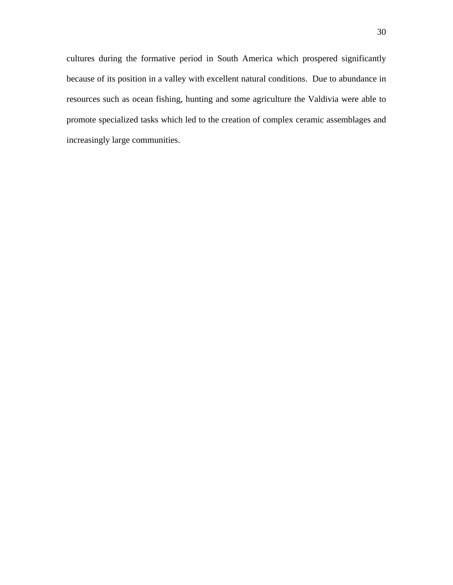cultures during the formative period in South America which prospered significantly because of its position in a valley with excellent natural conditions. Due to abundance in resources such as ocean fishing, hunting and some agriculture the Valdivia were able to promote specialized tasks which led to the creation of complex ceramic assemblages and increasingly large communities.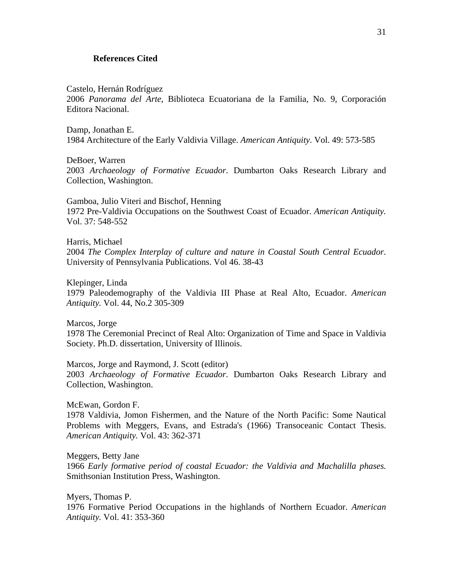#### **References Cited**

Castelo, Hernán Rodríguez

2006 *Panorama del Arte*, Biblioteca Ecuatoriana de la Familia, No. 9, Corporación Editora Nacional.

Damp, Jonathan E. 1984 Architecture of the Early Valdivia Village. *American Antiquity*. Vol. 49: 573-585

DeBoer, Warren 2003 *Archaeology of Formative Ecuador*. Dumbarton Oaks Research Library and Collection, Washington.

Gamboa, Julio Viteri and Bischof, Henning 1972 Pre-Valdivia Occupations on the Southwest Coast of Ecuador. *American Antiquity.* Vol. 37: 548-552

Harris, Michael 2004 *The Complex Interplay of culture and nature in Coastal South Central Ecuador.* University of Pennsylvania Publications. Vol 46. 38-43

Klepinger, Linda 1979 Paleodemography of the Valdivia III Phase at Real Alto, Ecuador. *American Antiquity.* Vol. 44, No.2 305-309

Marcos, Jorge 1978 The Ceremonial Precinct of Real Alto: Organization of Time and Space in Valdivia Society. Ph.D. dissertation, University of Illinois.

Marcos, Jorge and Raymond, J. Scott (editor) 2003 *Archaeology of Formative Ecuador*. Dumbarton Oaks Research Library and Collection, Washington.

McEwan, Gordon F.

1978 Valdivia, Jomon Fishermen, and the Nature of the North Pacific: Some Nautical Problems with Meggers, Evans, and Estrada's (1966) Transoceanic Contact Thesis. *American Antiquity.* Vol. 43: 362-371

Meggers, Betty Jane

1966 *Early formative period of coastal Ecuador: the Valdivia and Machalilla phases.* Smithsonian Institution Press, Washington.

Myers, Thomas P.

1976 Formative Period Occupations in the highlands of Northern Ecuador. *American Antiquity.* Vol. 41: 353-360